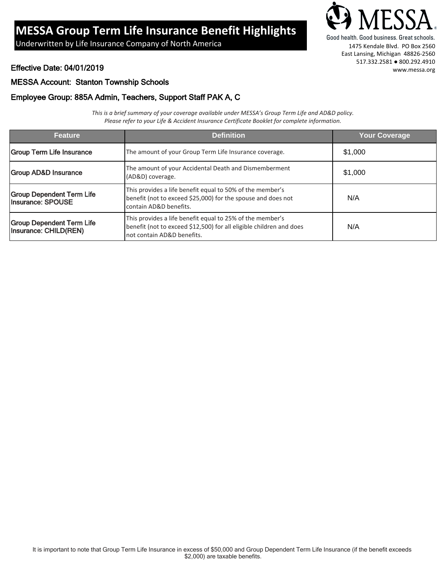# **MESSA Group Term Life Insurance Benefit Highlights**

Good health. Good business. Great schools.<br>Underwritten by Life Insurance Company of North America 1475 Kendale Blvd. PO Box 2560



East Lansing, Michigan 48826-2560 517.332.2581 ● 800.292.4910 www.messa.org

Effective Date: 04/01/2019

#### MESSA Account: Stanton Township Schools

### Employee Group: 885A Admin, Teachers, Support Staff PAK A, C

*This is a brief summary of your coverage available under MESSA's Group Term Life and AD&D policy. Please refer to your Life & Accident Insurance Certificate Booklet for complete information.*

| <b>Feature</b>                                            | <b>Definition</b>                                                                                                                                              | Your Coverage |
|-----------------------------------------------------------|----------------------------------------------------------------------------------------------------------------------------------------------------------------|---------------|
| <b>Group Term Life Insurance</b>                          | The amount of your Group Term Life Insurance coverage.                                                                                                         | \$1,000       |
| <b>Group AD&amp;D Insurance</b>                           | The amount of your Accidental Death and Dismemberment<br>(AD&D) coverage.                                                                                      | \$1,000       |
| <b>Group Dependent Term Life</b><br>Insurance: SPOUSE     | This provides a life benefit equal to 50% of the member's<br>benefit (not to exceed \$25,000) for the spouse and does not<br>contain AD&D benefits.            | N/A           |
| <b>Group Dependent Term Life</b><br>Insurance: CHILD(REN) | This provides a life benefit equal to 25% of the member's<br>benefit (not to exceed \$12,500) for all eligible children and does<br>not contain AD&D benefits. | N/A           |